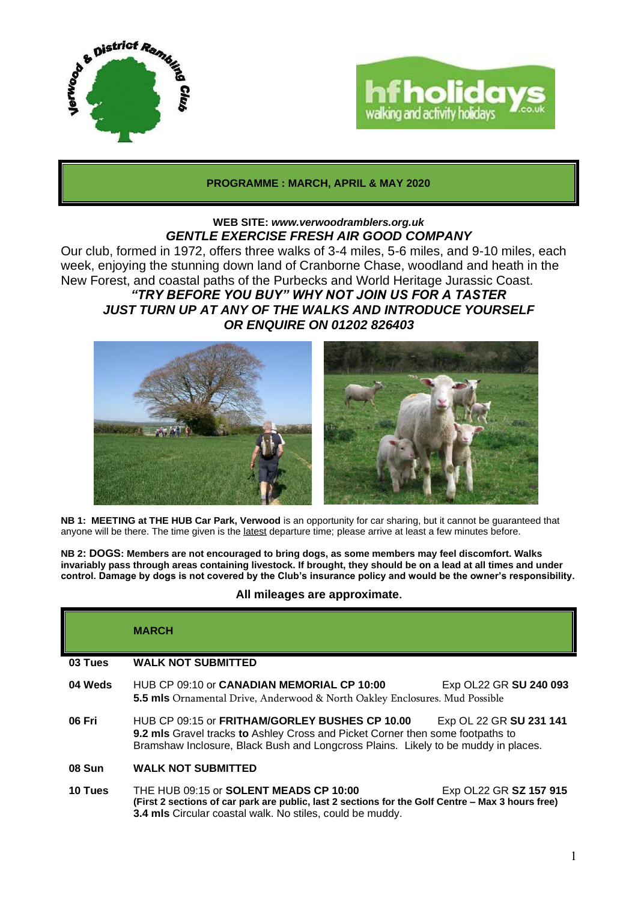



## **PROGRAMME : MARCH, APRIL & MAY 2020**

### **WEB SITE:** *[www.verwoodramblers.org.uk](http://www.verwoodramblers.org.uk/) GENTLE EXERCISE FRESH AIR GOOD COMPANY*

Our club, formed in 1972, offers three walks of 3-4 miles, 5-6 miles, and 9-10 miles, each week, enjoying the stunning down land of Cranborne Chase, woodland and heath in the New Forest, and coastal paths of the Purbecks and World Heritage Jurassic Coast. *"TRY BEFORE YOU BUY" WHY NOT JOIN US FOR A TASTER*

# *JUST TURN UP AT ANY OF THE WALKS AND INTRODUCE YOURSELF OR ENQUIRE ON 01202 826403*



**NB 1: MEETING at THE HUB Car Park, Verwood** is an opportunity for car sharing, but it cannot be guaranteed that anyone will be there. The time given is the latest departure time; please arrive at least a few minutes before.

**NB 2: DOGS: Members are not encouraged to bring dogs, as some members may feel discomfort. Walks invariably pass through areas containing livestock. If brought, they should be on a lead at all times and under control. Damage by dogs is not covered by the Club's insurance policy and would be the owner's responsibility.**

# **All mileages are approximate.**

# **MARCH**

#### **03 Tues WALK NOT SUBMITTED**

- **04 Weds** HUB CP 09:10 or **CANADIAN MEMORIAL CP 10:00** Exp OL22 GR **SU 240 093 5.5 mls** Ornamental Drive, Anderwood & North Oakley Enclosures. Mud Possible
- **06 Fri** HUB CP 09:15 or **FRITHAM/GORLEY BUSHES CP 10.00** Exp OL 22 GR **SU 231 141 9.2 mls** Gravel tracks **to** Ashley Cross and Picket Corner then some footpaths to Bramshaw Inclosure, Black Bush and Longcross Plains. Likely to be muddy in places.
- **08 Sun WALK NOT SUBMITTED**
- **10 Tues** THE HUB 09:15 or **SOLENT MEADS CP 10:00** Exp OL22 GR **SZ 157 915 (First 2 sections of car park are public, last 2 sections for the Golf Centre – Max 3 hours free) 3.4 mls** Circular coastal walk. No stiles, could be muddy.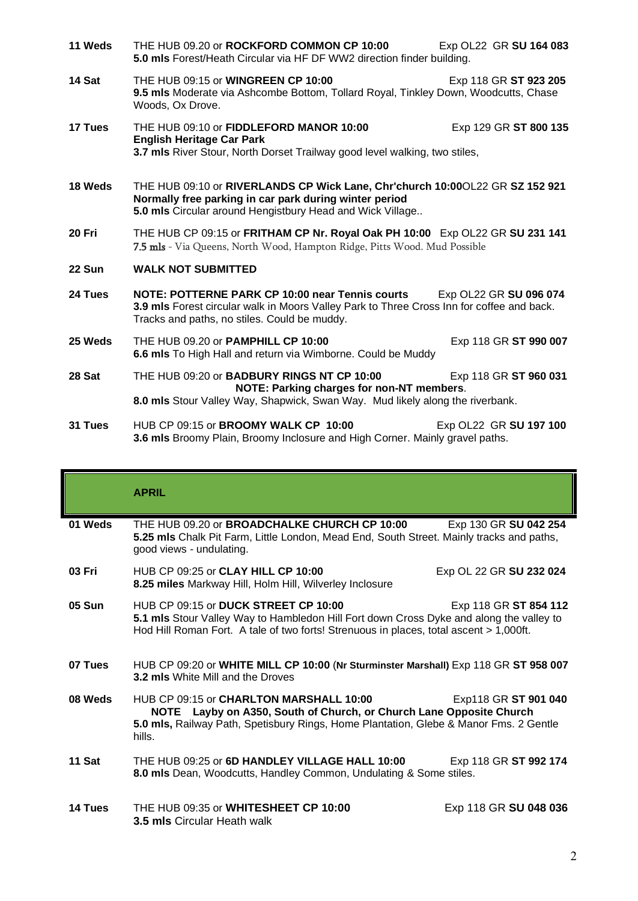- **11 Weds** THE HUB 09.20 or **ROCKFORD COMMON CP 10:00** Exp OL22 GR **SU 164 083 5.0 mls** Forest/Heath Circular via HF DF WW2 direction finder building. **14 Sat** THE HUB 09:15 or **WINGREEN CP 10:00** Exp 118 GR **ST 923 205 9.5 mls** Moderate via Ashcombe Bottom, Tollard Royal, Tinkley Down, Woodcutts, Chase Woods, Ox Drove. **17 Tues** THE HUB 09:10 or **FIDDLEFORD MANOR 10:00** Exp 129 GR **ST 800 135 English Heritage Car Park 3.7 mls** River Stour, North Dorset Trailway good level walking, two stiles, **18 Weds** THE HUB 09:10 or **RIVERLANDS CP Wick Lane, Chr'church [10:00](x-apple-data-detectors://2/)**OL22 GR **SZ 152 921 Normally free parking in car park during winter period 5.0 mls** Circular around Hengistbury Head and Wick Village.. **20 Fri** THE HUB CP 09:15 or **FRITHAM CP Nr. Royal Oak PH 10:00** Exp OL22 GR **SU 231 141**  7.5 mls - Via Queens, North Wood, Hampton Ridge, Pitts Wood. Mud Possible **22 Sun WALK NOT SUBMITTED 24 Tues NOTE: POTTERNE PARK CP 10:00 near Tennis courts** Exp OL22 GR **SU 096 074 3.9 mls** Forest circular walk in Moors Valley Park to Three Cross Inn for coffee and back. Tracks and paths, no stiles. Could be muddy. **25 Weds** THE HUB 09.20 or **PAMPHILL CP 10:00** Exp 118 GR **ST 990 007 6.6 mls** To High Hall and return via Wimborne. Could be Muddy **28 Sat** THE HUB 09:20 or **BADBURY RINGS NT CP 10:00** Exp 118 GR **ST 960 031 NOTE: Parking charges for non-NT members**. **8.0 mls** Stour Valley Way, Shapwick, Swan Way. Mud likely along the riverbank.
- **31 Tues** HUB CP 09:15 or **BROOMY WALK CP 10:00** Exp OL22 GR **SU 197 100 3.6 mls** Broomy Plain, Broomy Inclosure and High Corner. Mainly gravel paths.

|               | <b>APRIL</b>                                                                                                                                                                                                              |                         |
|---------------|---------------------------------------------------------------------------------------------------------------------------------------------------------------------------------------------------------------------------|-------------------------|
| 01 Weds       | Exp 130 GR SU 042 254<br>THE HUB 09.20 or <b>BROADCHALKE CHURCH CP 10:00</b><br>5.25 mls Chalk Pit Farm, Little London, Mead End, South Street. Mainly tracks and paths,<br>good views - undulating.                      |                         |
| 03 Fri        | HUB CP 09:25 or <b>CLAY HILL CP 10:00</b><br>8.25 miles Markway Hill, Holm Hill, Wilverley Inclosure                                                                                                                      | Exp OL 22 GR SU 232 024 |
| <b>05 Sun</b> | HUB CP 09:15 or DUCK STREET CP 10:00<br>5.1 mls Stour Valley Way to Hambledon Hill Fort down Cross Dyke and along the valley to<br>Hod Hill Roman Fort. A tale of two forts! Strenuous in places, total ascent > 1,000ft. | Exp 118 GR ST 854 112   |
| 07 Tues       | HUB CP 09:20 or WHITE MILL CP 10:00 (Nr Sturminster Marshall) Exp 118 GR ST 958 007<br>3.2 mls White Mill and the Droves                                                                                                  |                         |
| 08 Weds       | HUB CP 09:15 or CHARLTON MARSHALL 10:00<br>NOTE Layby on A350, South of Church, or Church Lane Opposite Church<br>5.0 mls, Railway Path, Spetisbury Rings, Home Plantation, Glebe & Manor Fms. 2 Gentle<br>hills.         | Exp118 GR ST 901 040    |
| 11 Sat        | THE HUB 09:25 or 6D HANDLEY VILLAGE HALL 10:00<br>8.0 mls Dean, Woodcutts, Handley Common, Undulating & Some stiles.                                                                                                      | Exp 118 GR ST 992 174   |
| 14 Tues       | THE HUB 09:35 or WHITESHEET CP 10:00<br>3.5 mls Circular Heath walk                                                                                                                                                       | Exp 118 GR SU 048 036   |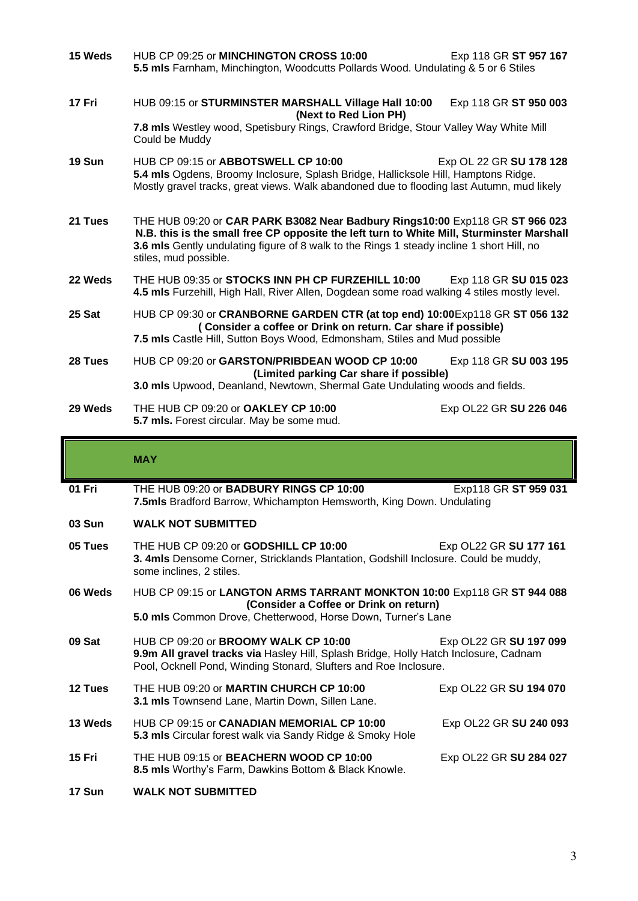| 15 Weds | HUB CP 09:25 or MINCHINGTON CROSS 10:00<br>5.5 mls Farnham, Minchington, Woodcutts Pollards Wood. Undulating & 5 or 6 Stiles                                                                                                                                                                    | Exp 118 GR ST 957 167  |  |
|---------|-------------------------------------------------------------------------------------------------------------------------------------------------------------------------------------------------------------------------------------------------------------------------------------------------|------------------------|--|
| 17 Fri  | HUB 09:15 or STURMINSTER MARSHALL Village Hall 10:00<br>(Next to Red Lion PH)                                                                                                                                                                                                                   | Exp 118 GR ST 950 003  |  |
|         | 7.8 mls Westley wood, Spetisbury Rings, Crawford Bridge, Stour Valley Way White Mill<br>Could be Muddy                                                                                                                                                                                          |                        |  |
| 19 Sun  | HUB CP 09:15 or ABBOTSWELL CP 10:00<br>Exp OL 22 GR SU 178 128<br>5.4 mls Ogdens, Broomy Inclosure, Splash Bridge, Hallicksole Hill, Hamptons Ridge.<br>Mostly gravel tracks, great views. Walk abandoned due to flooding last Autumn, mud likely                                               |                        |  |
| 21 Tues | THE HUB 09:20 or CAR PARK B3082 Near Badbury Rings10:00 Exp118 GR ST 966 023<br>N.B. this is the small free CP opposite the left turn to White Mill, Sturminster Marshall<br>3.6 mls Gently undulating figure of 8 walk to the Rings 1 steady incline 1 short Hill, no<br>stiles, mud possible. |                        |  |
| 22 Weds | THE HUB 09:35 or STOCKS INN PH CP FURZEHILL 10:00<br>4.5 mls Furzehill, High Hall, River Allen, Dogdean some road walking 4 stiles mostly level.                                                                                                                                                | Exp 118 GR SU 015 023  |  |
| 25 Sat  | HUB CP 09:30 or CRANBORNE GARDEN CTR (at top end) 10:00Exp118 GR ST 056 132<br>(Consider a coffee or Drink on return. Car share if possible)                                                                                                                                                    |                        |  |
|         | 7.5 mls Castle Hill, Sutton Boys Wood, Edmonsham, Stiles and Mud possible                                                                                                                                                                                                                       |                        |  |
| 28 Tues | HUB CP 09:20 or GARSTON/PRIBDEAN WOOD CP 10:00<br>(Limited parking Car share if possible)                                                                                                                                                                                                       | Exp 118 GR SU 003 195  |  |
|         | 3.0 mls Upwood, Deanland, Newtown, Shermal Gate Undulating woods and fields.                                                                                                                                                                                                                    |                        |  |
| 29 Weds | THE HUB CP 09:20 or OAKLEY CP 10:00<br>5.7 mls. Forest circular. May be some mud.                                                                                                                                                                                                               | Exp OL22 GR SU 226 046 |  |

### **MAY**

- **01 Fri** THE HUB 09:20 or **BADBURY RINGS CP 10:00** Exp118 GR **ST 959 031 7.5mls** Bradford Barrow, Whichampton Hemsworth, King Down. Undulating
- **03 Sun WALK NOT SUBMITTED**
- **05 Tues** THE HUB CP 09:20 or **GODSHILL CP 10:00** Exp OL22 GR **SU 177 161 3. 4mls** Densome Corner, Stricklands Plantation, Godshill Inclosure. Could be muddy, some inclines, 2 stiles.
- **06 Weds** HUB CP 09:15 or **LANGTON ARMS TARRANT MONKTON 10:00** Exp118 GR **ST 944 088 (Consider a Coffee or Drink on return)**

**5.0 mls** Common Drove, Chetterwood, Horse Down, Turner's Lane

- **09 Sat** HUB CP 09:20 or **BROOMY WALK CP 10:00** Exp OL22 GR **SU 197 099 9.9m All gravel tracks via** Hasley Hill, Splash Bridge, Holly Hatch Inclosure, Cadnam Pool, Ocknell Pond, Winding Stonard, Slufters and Roe Inclosure.
- **12 Tues** THE HUB 09:20 or **MARTIN CHURCH CP 10:00** Exp OL22 GR **SU 194 070 3.1 mls** Townsend Lane, Martin Down, Sillen Lane.
- **13 Weds** HUB CP 09:15 or **CANADIAN MEMORIAL CP 10:00** Exp OL22 GR **SU 240 093 5.3 mls** Circular forest walk via Sandy Ridge & Smoky Hole
- **15 Fri** THE HUB 09:15 or **BEACHERN WOOD CP 10:00** Exp OL22 GR **SU 284 027 8.5 mls** Worthy's Farm, Dawkins Bottom & Black Knowle.
- **17 Sun WALK NOT SUBMITTED**